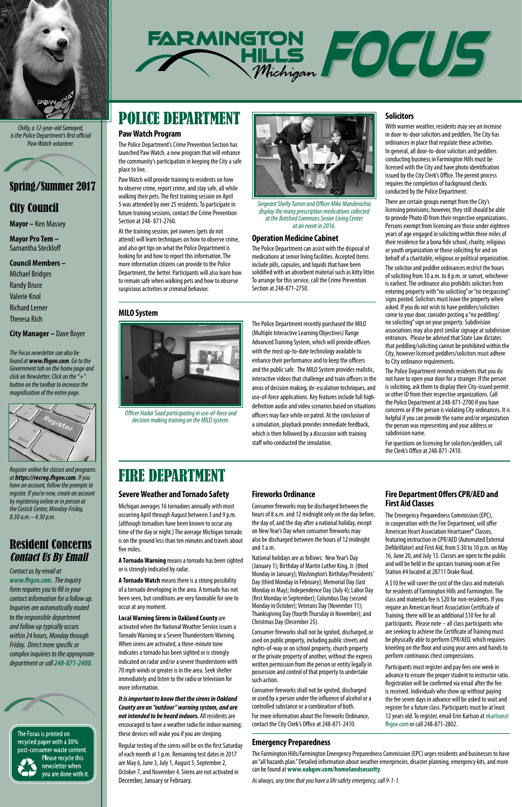

*Chilly, a 12-year-old Samoyed, is the Police Department's first official Paw Watch volunteer.*



# City Council

**Mayor –** Ken Massey

**Mayor Pro Tem –** Samantha Steckloff

**Council Members –** 

Michael Bridges Randy Bruce Valerie Knol Richard Lerner Theresa Rich

**City Manager –** Dave Boyer

*Register online for classes and programs at https://recreg.fhgov.com. If you have an account, follow the prompts to register. If you're new, create an account by registering online or in person at the Costick Center, Monday-Friday, 8:30 a.m.– 4:30 p.m.*

# Resident Concerns Contact Us By Email

*Contact us by email at www.fhgov.com. The inquiry form requires you to fill in your* 



*contact information for a follow up. Inquiries are automatically routed to the responsible department and follow up typically occurs within 24 hours, Monday through Friday. Direct more specific or complex inquiries to the appropriate department or call 248‑871‑2400.*

The Focus is printed on recycled paper with a 30% post-consumer waste content. Please recycle this newsletter when you are done with it.

*The Focus newsletter can also be found at www.fhgov.com. Go to the Government tab on the home page and click on Newsletter. Click on the "+" button on the toolbar to increase the magnification of the entire page.*



# POLICE DEPARTMENT

# FIRE DEPARTMENT

The Police Department recently purchased the MILO (Multiple Interactive Learning Objectives) Range Advanced Training System, which will provide officers with the most up-to-date technology available to enhance their performance and to keep the officers and the public safe. The MILO System provides realistic, interactive videos that challenge and train officers in the areas of decision making, de-escalation techniques, and use-of-force applications. Key features include full highdefinition audio and video scenarios based on situations officers may face while on patrol. At the conclusion of a simulation, playback provides immediate feedback, which is then followed by a discussion with training staff who conducted the simulation.



*Officer Hadar Saad participating in use-of-force and decision making training on the MILO system.*

#### **Operation Medicine Cabinet**

The Police Department can assist with the disposal of medications at senior living facilities. Accepted items include pills, capsules, and liquids that have been solidified with an absorbent material such as kitty litter. To arrange for this service, call the Crime Prevention Section at 248-871-2750.

*Sergeant Shelly Turner and Officer Mike Manderachia display the many prescription medications collected at the Botsford Commons Senior Living Center at an event in 2016.*

### **Paw Watch Program**

The Police Department's Crime Prevention Section has launched Paw Watch, a new program that will enhance the community's participation in keeping the City a safe place to live.

Paw Watch will provide training to residents on how to observe crime, report crime, and stay safe, all while walking their pets. The first training session on April 5 was attended by over 25 residents. To participate in future training sessions, contact the Crime Prevention Section at 248- 871-2760.

At the training session, pet owners (pets do not attend) will learn techniques on how to observe crime, and also get tips on what the Police Department is looking for and how to report this information. The more information citizens can provide to the Police Department, the better. Participants will also learn how to remain safe when walking pets and how to observe suspicious activities or criminal behavior.

## **Fire Department Offers CPR/AED and First Aid Classes**

The Emergency Preparedness Commission (EPC), in cooperation with the Fire Department, will offer American Heart Association Heartsaver® Classes, featuring instruction in CPR/AED (Automated External Defibrillator) and First Aid, from 5:30 to 10 p.m. on May 16, June 20, and July 13. Classes are open to the public and will be held in the upstairs training room at Fire Station #4 located at 28711 Drake Road.

A \$10 fee will cover the cost of the class and materials for residents of Farmington Hills and Farmington. The class and materials fee is \$20 for non-residents. If you require an American Heart Association Certificate of Training, there will be an additional \$10 fee for all participants. Please note – all class participants who are seeking to achieve the Certificate of Training must be physically able to perform CPR/AED, which requires kneeling on the floor and using your arms and hands to perform continuous chest compressions.

Participants must register and pay fees one week in advance to ensure the proper student to instructor ratio. Registration will be confirmed via email after the fee is received. Individuals who show up without paying the fee seven days in advance will be asked to wait and register for a future class. Participants must be at least 12 years old. To register, email Erin Karlson at ekarlson@ fhgov.com or call 248-871-2802.

#### **Severe Weather and Tornado Safety**

Michigan averages 16 tornadoes annually with most occurring April through August between 3 and 9 p.m. (although tornadoes have been known to occur any time of the day or night.) The average Michigan tornado is on the ground less than ten minutes and travels about five miles.

**A Tornado Warning** means a tornado has been sighted or is strongly indicated by radar.

**A Tornado Watch** means there is a strong possibility of a tornado developing in the area. A tornado has not

been seen, but conditions are very favorable for one to occur at any moment.

**Local Warning Sirens in Oakland County** are activated when the National Weather Service issues a Tornado Warning or a Severe Thunderstorm Warning. When sirens are activated, a three-minute tone indicates a tornado has been sighted or is strongly indicated on radar and/or a severe thunderstorm with 70 mph winds or greater is in the area. Seek shelter immediately and listen to the radio or television for more information.

*It is important to know that the sirens in Oakland County are an "outdoor" warning system, and are not intended to be heard indoors.* All residents are encouraged to have a weather radio for indoor warning; these devices will wake you if you are sleeping.

Regular testing of the sirens will be on the first Saturday of each month at 1 p.m. Remaining test dates in 2017 are May 6, June 3, July 1, August 5, September 2, October 7, and November 4. Sirens are not activated in December, January or February.

## **Fireworks Ordinance**

Consumer fireworks may be discharged between the hours of 8 a.m. and 12 midnight only on the day before, the day of, and the day after a national holiday, except on New Year's Day when consumer fireworks may also be discharged between the hours of 12 midnight and 1 a.m.

National holidays are as follows: New Year's Day (January 1); Birthday of Martin Luther King, Jr. (third Monday in January); Washington's Birthday/Presidents' Day (third Monday in February); Memorial Day (last Monday in May); Independence Day (July 4); Labor Day (first Monday in September); Columbus Day (second Monday in October); Veterans Day (November 11); Thanksgiving Day (fourth Thursday in November); and Christmas Day (December 25).

Consumer fireworks shall not be ignited, discharged, or used on public property, including public streets and rights-of-way or on school property, church property or the private property of another, without the express written permission from the person or entity legally in possession and control of that property to undertake such action.

Consumer fireworks shall not be ignited, discharged or used by a person under the influence of alcohol or a controlled substance or a combination of both.

For more information about the Fireworks Ordinance, contact the City Clerk's Office at 248-871-2410.

## **Solicitors**

With warmer weather, residents may see an increase in door-to-door solicitors and peddlers. The City has ordinances in place that regulate these activities. In general, all door-to-door solicitors and peddlers conducting business in Farmington Hills must be licensed with the City and have photo identification issued by the City Clerk's Office. The permit process requires the completion of background checks conducted by the Police Department.

There are certain groups exempt from the City's licensing provisions; however, they still should be able to provide Photo ID from their respective organizations. Persons exempt from licensing are those under eighteen years of age engaged in soliciting within three miles of their residence for a bona fide school, charity, religious or youth organization or those soliciting for and on behalf of a charitable, religious or political organization.

The solicitor and peddler ordinances restrict the hours of soliciting from 10 a.m. to 8 p.m. or sunset, whichever is earliest. The ordinance also prohibits solicitors from entering property with "no soliciting" or "no trespassing" signs posted. Solicitors must leave the property when asked. If you do not wish to have peddlers/solicitors come to your door, consider posting a "no peddling/ no soliciting" sign on your property. Subdivision associations may also post similar signage at subdivision entrances. Please be advised that State Law dictates that peddling/soliciting cannot be prohibited within the City, however licensed peddlers/solicitors must adhere to City ordinance requirements.

The Police Department reminds residents that you do not have to open your door for a stranger. If the person is soliciting, ask them to display their City-issued permit or other ID from their respective organizations. Call the Police Department at 248-871-2700 if you have concerns or if the person is violating City ordinances. It is helpful if you can provide the name and/or organization the person was representing and your address or subdivision name.

For questions on licensing for solicitors/peddlers, call the Clerk's Office at 248-871-2410.

#### **Emergency Preparedness**

The Farmington Hills/Farmington Emergency Preparedness Commission (EPC) urges residents and businesses to have an "all hazards plan." Detailed information about weather emergencies, disaster planning, emergency kits, and more can be found at **www.oakgov.com/homelandsecurity**.

*As always, any time that you have a life safety emergency, call 9-1-1.*

# **MILO System**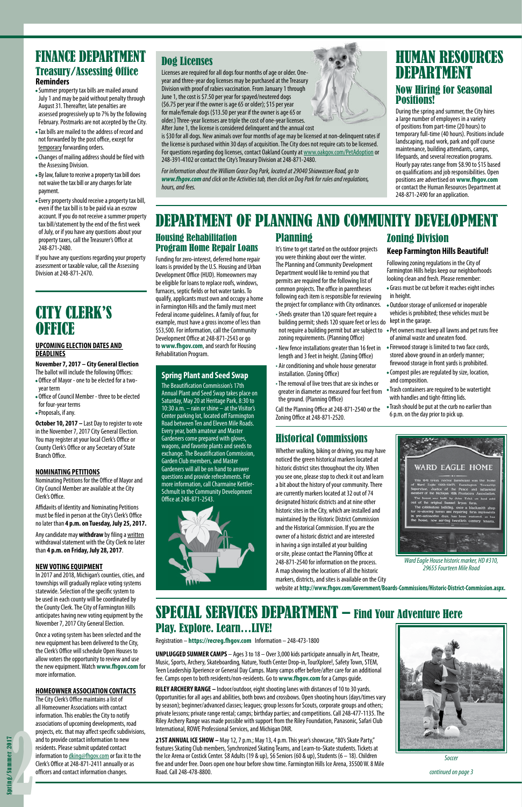# HUMAN RESOURCES DEPARTMENT Now Hiring for Seasonal Positions!

During the spring and summer, the City hires a large number of employees in a variety of positions from part-time (20 hours) to temporary full-time (40 hours). Positions include landscaping, road work, park and golf course maintenance, building attendants, camps, lifeguards, and several recreation programs. Hourly pay rates range from \$8.90 to \$15 based on qualifications and job responsibilities. Open positions are advertised on **www.fhgov.com** or contact the Human Resources Department at 248-871-2490 for an application.

# Dog Licenses

Licenses are required for all dogs four months of age or older. Oneyear and three-year dog licenses may be purchased at the Treasury Division with proof of rabies vaccination. From January 1 through June 1, the cost is \$7.50 per year for spayed/neutered dogs (\$6.75 per year if the owner is age 65 or older); \$15 per year for male/female dogs (\$13.50 per year if the owner is age 65 or older.) Three-year licenses are triple the cost of one-year licenses. After June 1, the license is considered delinquent and the annual cost

is \$30 for all dogs. New animals over four months of age may be licensed at non-delinquent rates if the license is purchased within 30 days of acquisition. The City does not require cats to be licensed. For questions regarding dog licenses, contact Oakland County at www.oakgov.com/PetAdoption or 248-391-4102 or contact the City's Treasury Division at 248-871-2480.

*For information about the William Grace Dog Park, located at 29040 Shiawassee Road, go to www.fhgov.com and click on the Activities tab, then click on Dog Park for rules and regulations, hours, and fees.*

Zoning Division

**Keep Farmington Hills Beautiful!** Following zoning regulations in the City of Farmington Hills helps keep our neighborhoods looking clean and fresh. Please remember: • Grass must be cut before it reaches eight inches

in height.

• Outdoor storage of unlicensed or inoperable vehicles is prohibited; these vehicles must be

- building permit; sheds 120 square feet or less do kept in the garage. not require a building permit but are subject to • Pet owners must keep all lawns and pet runs free • Sheds greater than 120 square feet require a zoning requirements. (Planning Office)
- New fence installations greater than 16 feet in length and 3 feet in height. (Zoning Office)
- Air conditioning and whole house generator installation. (Zoning Office)
- The removal of live trees that are six inches or greater in diameter as measured four feet from the ground. (Planning Office)
- Call the Planning Office at 248-871-2540 or the Zoning Office at 248-871-2520.

of animal waste and uneaten food.

• Firewood storage is limited to two face cords, stored above ground in an orderly manner; firewood storage in front yards is prohibited. • Compost piles are regulated by size, location,

and composition.

• Trash containers are required to be watertight

with handles and tight-fitting lids.

• Trash should be put at the curb no earlier than

6 p.m. on the day prior to pick up.

# DEPARTMENT OF PLANNING AND COMMUNITY DEVELOPMENT

## Housing Rehabilitation Program Home Repair Loans

Funding for zero-interest, deferred home repair loans is provided by the U.S. Housing and Urban Development Office (HUD). Homeowners may be eligible for loans to replace roofs, windows, furnaces, septic fields or hot water tanks. To qualify, applicants must own and occupy a home in Farmington Hills and the family must meet Federal income guidelines. A family of four, for example, must have a gross income of less than \$53,500. For information, call the Community Development Office at 248-871-2543 or go to **www.fhgov.com**, and search for Housing Rehabilitation Program.

# Planning

It's time to get started on the outdoor projects you were thinking about over the winter. The Planning and Community Development Department would like to remind you that permits are required for the following list of common projects. The office in parentheses following each item is responsible for reviewing the project for compliance with City ordinances.

# FINANCE DEPARTMENT Treasury/Assessing Office **Reminders**

# CITY CLERK'S **OFFICE**

# Historical Commissions

**October 10, 2017** – Last Day to register to vote in the November 7, 2017 City General Election. You may register at your local Clerk's Office or County Clerk's Office or any Secretary of State Branch Office.

Whether walking, biking or driving, you may have noticed the green historical markers located at historic district sites throughout the city. When you see one, please stop to check it out and learn a bit about the history of your community. There are currently markers located at 32 out of 74 designated historic districts and at nine other historic sites in the City, which are installed and maintained by the Historic District Commission and the Historical Commission. If you are the owner of a historic district and are interested in having a sign installed at your building or site, please contact the Planning Office at 248-871-2540 for information on the process. A map showing the locations of all the historic markers, districts, and sites is available on the City

### **Spring Plant and Seed Swap**

The Beautification Commission's 17th Annual Plant and Seed Swap takes place on Saturday, May 20 at Heritage Park, 8:30 to 10:30 a.m. – rain or shine – at the Visitor's Center parking lot, located off Farmington Road between Ten and Eleven Mile Roads. Every year, both amateur and Master Gardeners come prepared with gloves, wagons, and favorite plants and seeds to exchange. The Beautification Commission, Garden Club members, and Master Gardeners will all be on hand to answer questions and provide refreshments. For more information, call Charmaine Kettler-Schmult in the Community Development Office at 248-871-2543.



- Summer property tax bills are mailed around July 1 and may be paid without penalty through August 31. Thereafter, late penalties are assessed progressively up to 7% by the following February. Postmarks are not accepted by the City.
- Tax bills are mailed to the address of record and not forwarded by the post office, except for temporary forwarding orders.
- Changes of mailing address should be filed with the Assessing Division.
- By law, failure to receive a property tax bill does not waive the tax bill or any charges for late payment.
- Every property should receive a property tax bill, even if the tax bill is to be paid via an escrow account. If you do not receive a summer property tax bill/statement by the end of the first week of July, or if you have any questions about your property taxes, call the Treasurer's Office at 248-871-2480.

If you have any questions regarding your property assessment or taxable value, call the Assessing Division at 248-871-2470.

# SPECIAL SERVICES DEPARTMENT – Find Your Adventure Here Play. Explore. Learn…LIVE!

Registration – **https://recreg.fhgov.com** Information – 248-473-1800

**UNPLUGGED SUMMER CAMPS** – Ages 3 to 18 – Over 3,000 kids participate annually in Art, Theatre, Music, Sports, Archery, Skateboarding, Nature, Youth Center Drop-in, TourXplore!, Safety Town, STEM, Teen Leadership Xperience or General Day Camps. Many camps offer before/after care for an additional fee. Camps open to both residents/non-residents. Go to **www.fhgov.com** for a Camps guide.

**RILEY ARCHERY RANGE –** Indoor/outdoor, eight shooting lanes with distances of 10 to 30 yards. Opportunities for all ages and abilities, both bows and crossbows. Open shooting hours (days/times vary by season); beginner/advanced classes; leagues; group lessons for Scouts, corporate groups and others; private lessons; private range rental; camps; birthday parties; and competitions. Call 248-477-1135. The Riley Archery Range was made possible with support from the Riley Foundation, Panasonic, Safari Club International, ROWE Professional Services, and Michigan DNR.

**21ST ANNUAL ICE SHOW –** May 12, 7 p.m.; May 13, 4 p.m. This year's showcase, "80's Skate Party," features Skating Club members, Synchronized Skating Teams, and Learn-to-Skate students. Tickets at the Ice Arena or Costick Center. \$8 Adults (19 & up), \$6 Seniors (60 & up), Students (6 – 18). Children five and under free. Doors open one hour before show time. Farmington Hills Ice Arena, 35500 W. 8 Mile Road. Call 248-478-8800.



*Soccer*



*Ward Eagle House historic marker, HD #310, 29655 Fourteen Mile Road*

website at **http://www.fhgov.com/Government/Boards-Commissions/Historic-District-Commission.aspx.**

*continued on page 3*

#### **UPCOMING ELECTION DATES AND DEADLINES**

#### **November 7, 2017 – City General Election** The ballot will include the following Offices:

- Office of Mayor one to be elected for a twoyear term
- Office of Council Member three to be elected for four-year terms
- Proposals, if any.

#### **NOMINATING PETITIONS**

Nominating Petitions for the Office of Mayor and City Council Member are available at the City Clerk's Office.

Affidavits of Identity and Nominating Petitions must be filed in person at the City's Clerk's Office no later than **4 p.m. on Tuesday, July 25, 2017.** 

Any candidate may **withdraw** by filing a written withdrawal statement with the City Clerk no later than **4 p.m. on Friday, July 28, 2017**.

#### **NEW VOTING EQUIPMENT**

In 2017 and 2018, Michigan's counties, cities, and townships will gradually replace voting systems statewide. Selection of the specific system to be used in each county will be coordinated by the County Clerk. The City of Farmington Hills anticipates having new voting equipment by the November 7, 2017 City General Election.

Once a voting system has been selected and the new equipment has been delivered to the City, the Clerk's Office will schedule Open Houses to allow voters the opportunity to review and use the new equipment. Watch **www.fhgov.com** for more information.

#### **HOMEOWNER ASSOCIATION CONTACTS**

The City Clerk's Office maintains a list of all Homeowner Associations with contact information. This enables the City to notify associations of upcoming developments, road projects, etc. that may affect specific subdivisions, and to provide contact information to new residents. Please submit updated contact information to dking@fhgov.com or fax it to the Clerk's Office at 248-871-2411 annually or as officers and contact information changes.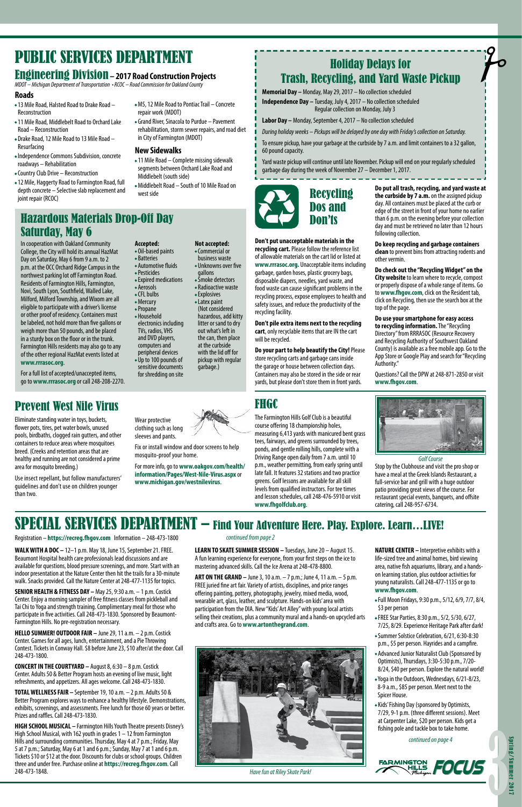# PUBLIC SERVICES DEPARTMENT

In cooperation with Oakland Community College, the City will hold its annual HazMat Day on Saturday, May 6 from 9 a.m. to 2 p.m. at the OCC Orchard Ridge Campus in the northwest parking lot off Farmington Road. Residents of Farmington Hills, Farmington, Novi, South Lyon, Southfield, Walled Lake, Milford, Milford Township, and Wixom are all eligible to participate with a driver's license or other proof of residency. Containers must be labeled, not hold more than five gallons or weigh more than 50 pounds, and be placed in a sturdy box on the floor or in the trunk. Farmington Hills residents may also go to any of the other regional HazMat events listed at **www.rrrasoc.org**.

For a full list of accepted/unaccepted items, go to **www.rrrasoc.org** or call 248-208-2270.

# **Accepted:**

- Oil-based paints • Batteries
- Automotive fluids
- Pesticides • Expired medications
- Aerosols
- CFL bulbs
- Mercury
- Propane
- Household electronics including TVs, radios, VHS and DVD players,
- computers and peripheral devices • Up to 100 pounds of
- sensitive documents for shredding on site

**Not accepted:** • Commercial or

- business waste
- Unknowns over five
	- gallons
	- Smoke detectors • Radioactive waste
	- Explosives
	- Latex paint
	- (Not considered hazardous, add kitty litter or sand to dry out what's left in the can, then place at the curbside with the lid off for pickup with regular garbage.)

# Holiday Delays for Trash, Recycling, and Yard Waste Pickup

**Memorial Day –** Monday, May 29, 2017 – No collection scheduled

**Independence Day –** Tuesday, July 4, 2017 – No collection scheduled Regular collection on Monday, July 3

**Labor Day –** Monday, September 4, 2017 – No collection scheduled

*During holiday weeks – Pickups will be delayed by one day with Friday's collection on Saturday.*

To ensure pickup, have your garbage at the curbside by 7 a.m. and limit containers to a 32 gallon, 60 pound capacity.

Yard waste pickup will continue until late November. Pickup will end on your regularly scheduled garbage day during the week of November 27 – December 1, 2017.

**Don't put unacceptable materials in the recycling cart.** Please follow the reference list of allowable materials on the cart lid or listed at

**www.rrrasoc.org.** Unacceptable items including garbage, garden hoses, plastic grocery bags, disposable diapers, needles, yard waste, and food waste can cause significant problems in the recycling process, expose employees to health and safety issues, and reduce the productivity of the recycling facility.

#### **Don't pile extra items next to the recycling cart**, only recyclable items that are IN the cart will be recycled.

**Do your part to help beautify the City!** Please store recycling carts and garbage cans inside the garage or house between collection days. Containers may also be stored in the side or rear

yards, but please don't store them in front yards.

#### **Roads**

# Prevent West Nile Virus

Eliminate standing water in toys, buckets, flower pots, tires, pet water bowls, unused pools, birdbaths, clogged rain gutters, and other containers to reduce areas where mosquitoes breed. (Creeks and retention areas that are healthy and running are not considered a prime area for mosquito breeding.)

Use insect repellant, but follow manufacturers' guidelines and don't use on children younger than two.

**WALK WITH A DOC –** 12–1 p.m. May 18, June 15, September 21. FREE. Beaumont Hospital health care professionals lead discussions and are available for questions, blood pressure screenings, and more. Start with an indoor presentation at the Nature Center then hit the trails for a 30-minute walk. Snacks provided. Call the Nature Center at 248-477-1135 for topics.

**SENIOR HEALTH & FITNESS DAY –** May 25, 9:30 a.m. – 1 p.m. Costick Center. Enjoy a morning sampler of free fitness classes from pickleball and Tai Chi to Yoga and strength training. Complimentary meal for those who participate in five activities. Call 248-473-1830. Sponsored by Beaumont-Farmington Hills. No pre-registration necessary.

**HELLO SUMMER! OUTDOOR FAIR –** June 29, 11 a.m. – 2 p.m. Costick Center. Games for all ages, lunch, entertainment, and a Pie Throwing Contest. Tickets in Conway Hall. \$8 before June 23, \$10 after/at the door. Call 248-473-1800.

**CONCERT IN THE COURTYARD –** August 8, 6:30 – 8 p.m. Costick Center. Adults 50 & Better Program hosts an evening of live music, light refreshments, and appetizers. All ages welcome. Call 248-473-1830.

**TOTAL WELLNESS FAIR –** September 19, 10 a.m. – 2 p.m. Adults 50 & Better Program explores ways to enhance a healthy lifestyle. Demonstrations, exhibits, screenings, and assessments. Free lunch for those 60 years or better. Prizes and raffles. Call 248-473-1830.

**HIGH SCHOOL MUSICAL –** Farmington Hills Youth Theatre presents Disney's High School Musical, with 162 youth in grades 1 – 12 from Farmington Hills and surrounding communities. Thursday, May 4 at 7 p.m.; Friday, May 5 at 7 p.m.; Saturday, May 6 at 1 and 6 p.m.; Sunday, May 7 at 1 and 6 p.m. Tickets \$10 or \$12 at the door. Discounts for clubs or school groups. Children three and under free. Purchase online at **https://recreg.fhgov.com**. Call 248-473-1848.

**LEARN TO SKATE SUMMER SESSION –** Tuesdays, June 20 – August 15. A fun learning experience for everyone, from your first steps on the ice to mastering advanced skills. Call the Ice Arena at 248-478-8800.

**ART ON THE GRAND –** June 3, 10 a.m. – 7 p.m.; June 4, 11 a.m. – 5 p.m. FREE juried fine art fair. Variety of artists, disciplines, and price ranges offering painting, pottery, photography, jewelry, mixed media, wood, wearable art, glass, leather, and sculpture. Hands-on kids' area with participation from the DIA. New "Kids' Art Alley" with young local artists selling their creations, plus a community mural and a hands-on upcycled arts and crafts area. Go to **www.artonthegrand.com**.

- •13 Mile Road, Halsted Road to Drake Road Reconstruction
- •11 Mile Road, Middlebelt Road to Orchard Lake Road – Reconstruction
- Drake Road, 12 Mile Road to 13 Mile Road Resurfacing
- Independence Commons Subdivision, concrete roadways – Rehabilitation
- •Country Club Drive Reconstruction
- •12 Mile, Haggerty Road to Farmington Road, full depth concrete – Selective slab replacement and joint repair (RCOC)
- M5, 12 Mile Road to Pontiac Trail Concrete repair work (MDOT)
- Grand River, Sinacola to Purdue Pavement rehabilitation, storm sewer repairs, and road diet in City of Farmington (MDOT)

# Hazardous Materials Drop-Off Day Saturday, May 6

**NATURE CENTER –** Interpretive exhibits with a life-sized tree and animal homes, bird viewing area, native fish aquariums, library, and a handson learning station, plus outdoor activities for young naturalists. Call 248-477-1135 or go to **www.fhgov.com**.

- 
- Full Moon Fridays, 9:30 p.m., 5/12, 6/9, 7/7, 8/4, \$3 per person
- FREE Star Parties, 8:30 p.m., 5/2, 5/30, 6/27, 7/25, 8/29. Experience Heritage Park after dark!
- Summer Solstice Celebration, 6/21, 6:30-8:30 p.m., \$5 per person. Hayrides and a campfire.
- Advanced Junior Naturalist Club (Sponsored by Optimists), Thursdays, 3:30-5:30 p.m., 7/20- 8/24, \$40 per person. Explore the natural world!
- Yoga in the Outdoors, Wednesdays, 6/21-8/23, 8-9 a.m., \$85 per person. Meet next to the Spicer House.
- Kids' Fishing Day (sponsored by Optimists, 7/29, 9-1 p.m. (three different sessions). Meet at Carpenter Lake, \$20 per person. Kids get a fishing pole and tackle box to take home.



*Have fun at Riley Skate Park!*



# SPECIAL SERVICES DEPARTMENT – Find Your Adventure Here. Play. Explore. Learn…LIVE!

Registration – **https://recreg.fhgov.com** Information – 248-473-1800 *continued from page 2*

*continued on page 4*



**Do put all trash, recycling, and yard waste at the curbside by 7 a.m.** on the assigned pickup day. All containers must be placed at the curb or edge of the street in front of your home no earlier than 6 p.m. on the evening before your collection day and must be retrieved no later than 12 hours following collection.

**Do keep recycling and garbage containers clean** to prevent bins from attracting rodents and other vermin.

**Do check out the "Recycling Widget" on the City website** to learn where to recycle, compost or properly dispose of a whole range of items. Go to **www.fhgov.com**, click on the Resident tab, click on Recycling, then use the search box at the top of the page.

**Do use your smartphone for easy access to recycling information.** The "Recycling Directory" from RRRASOC (Resource Recovery and Recycling Authority of Southwest Oakland County) is available as a free mobile app. Go to the App Store or Google Play and search for "Recycling Authority."

Questions? Call the DPW at 248-871-2850 or visit **www.fhgov.com**.

# FHGC

The Farmington Hills Golf Club is a beautiful course offering 18 championship holes, measuring 6,413 yards with manicured bent grass tees, fairways, and greens surrounded by trees, ponds, and gentle rolling hills, complete with a Driving Range open daily from 7 a.m. until 10 p.m., weather permitting, from early spring until late fall. It features 32 stations and two practice greens. Golf lessons are available for all skill levels from qualified instructors. For tee times and lesson schedules, call 248-476-5910 or visit **www.fhgolfclub.org**.



#### **New Sidewalks**

*Golf Course* Stop by the Clubhouse and visit the pro shop or have a meal at the Greek Islands Restaurant, a full-service bar and grill with a huge outdoor patio providing great views of the course. For restaurant special events, banquets, and offsite catering, call 248-957-6734.

- •11 Mile Road Complete missing sidewalk segments between Orchard Lake Road and Middlebelt (south side)
- Middlebelt Road South of 10 Mile Road on west side

# Engineering Division **– 2017 Road Construction Projects**

*MDOT – Michigan Department of Transportation • RCOC – Road Commission for Oakland County*

Wear protective clothing such as long sleeves and pants.

Fix or install window and door screens to help

mosquito-proof your home.

For more info, go to **www.oakgov.com/health/ information/Pages/West-Nile-Virus.aspx** or **www.michigan.gov/westnilevirus**.